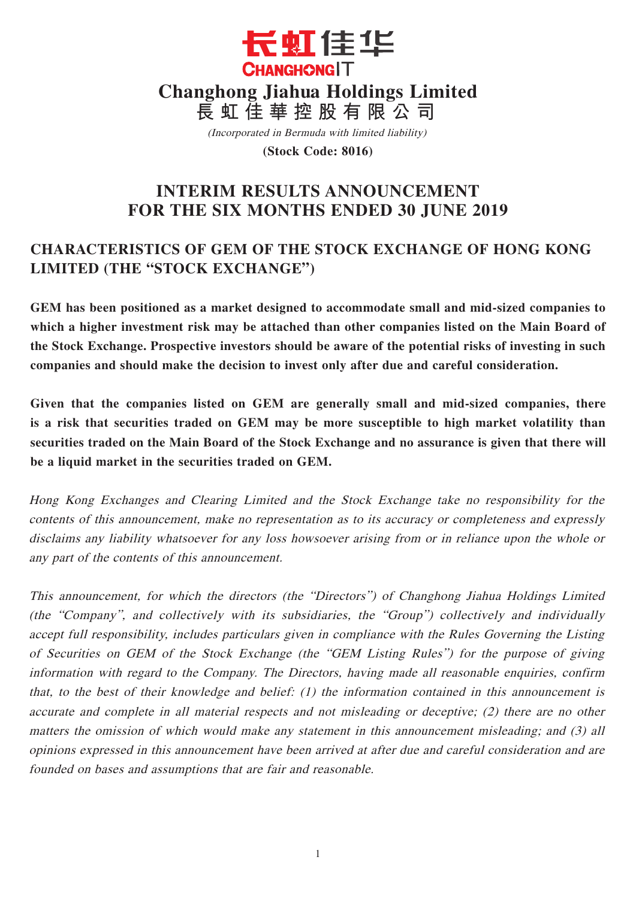

(Incorporated in Bermuda with limited liability)

**(Stock Code: 8016)**

# **INTERIM RESULTS ANNOUNCEMENT FOR THE SIX MONTHS ENDED 30 JUNE 2019**

# **CHARACTERISTICS OF GEM OF THE STOCK EXCHANGE OF HONG KONG LIMITED (THE "STOCK EXCHANGE")**

**GEM has been positioned as a market designed to accommodate small and mid-sized companies to which a higher investment risk may be attached than other companies listed on the Main Board of the Stock Exchange. Prospective investors should be aware of the potential risks of investing in such companies and should make the decision to invest only after due and careful consideration.**

**Given that the companies listed on GEM are generally small and mid-sized companies, there is a risk that securities traded on GEM may be more susceptible to high market volatility than securities traded on the Main Board of the Stock Exchange and no assurance is given that there will be a liquid market in the securities traded on GEM.**

Hong Kong Exchanges and Clearing Limited and the Stock Exchange take no responsibility for the contents of this announcement, make no representation as to its accuracy or completeness and expressly disclaims any liability whatsoever for any loss howsoever arising from or in reliance upon the whole or any part of the contents of this announcement.

This announcement, for which the directors (the "Directors") of Changhong Jiahua Holdings Limited (the "Company", and collectively with its subsidiaries, the "Group") collectively and individually accept full responsibility, includes particulars given in compliance with the Rules Governing the Listing of Securities on GEM of the Stock Exchange (the "GEM Listing Rules") for the purpose of giving information with regard to the Company. The Directors, having made all reasonable enquiries, confirm that, to the best of their knowledge and belief: (1) the information contained in this announcement is accurate and complete in all material respects and not misleading or deceptive; (2) there are no other matters the omission of which would make any statement in this announcement misleading; and (3) all opinions expressed in this announcement have been arrived at after due and careful consideration and are founded on bases and assumptions that are fair and reasonable.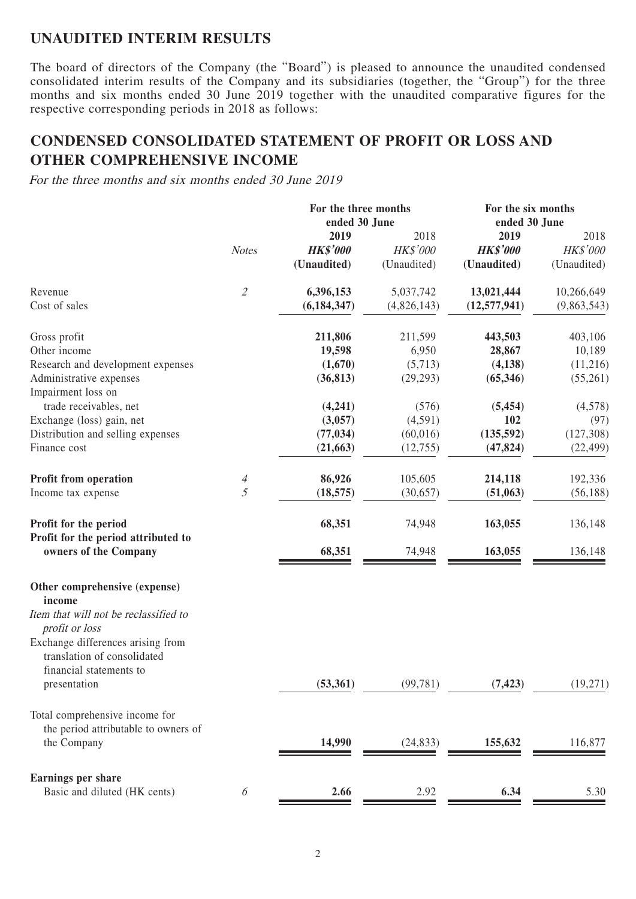## **UNAUDITED INTERIM RESULTS**

The board of directors of the Company (the "Board") is pleased to announce the unaudited condensed consolidated interim results of the Company and its subsidiaries (together, the "Group") for the three months and six months ended 30 June 2019 together with the unaudited comparative figures for the respective corresponding periods in 2018 as follows:

## **CONDENSED CONSOLIDATED STATEMENT OF PROFIT OR LOSS AND OTHER COMPREHENSIVE INCOME**

For the three months and six months ended 30 June 2019

|                                                                                             |                             | For the three months<br>ended 30 June |                 | For the six months<br>ended 30 June |             |
|---------------------------------------------------------------------------------------------|-----------------------------|---------------------------------------|-----------------|-------------------------------------|-------------|
|                                                                                             |                             | 2019                                  | 2018            | 2019                                | 2018        |
|                                                                                             | <b>Notes</b>                | <b>HK\$'000</b>                       | <b>HK\$'000</b> | <b>HK\$'000</b>                     | HK\$'000    |
|                                                                                             |                             | (Unaudited)                           | (Unaudited)     | (Unaudited)                         | (Unaudited) |
| Revenue                                                                                     | $\mathcal{L}_{\mathcal{L}}$ | 6,396,153                             | 5,037,742       | 13,021,444                          | 10,266,649  |
| Cost of sales                                                                               |                             | (6, 184, 347)                         | (4,826,143)     | (12, 577, 941)                      | (9,863,543) |
| Gross profit                                                                                |                             | 211,806                               | 211,599         | 443,503                             | 403,106     |
| Other income                                                                                |                             | 19,598                                | 6,950           | 28,867                              | 10,189      |
| Research and development expenses                                                           |                             | (1,670)                               | (5,713)         | (4,138)                             | (11,216)    |
| Administrative expenses<br>Impairment loss on                                               |                             | (36, 813)                             | (29, 293)       | (65,346)                            | (55,261)    |
| trade receivables, net                                                                      |                             | (4,241)                               | (576)           | (5, 454)                            | (4,578)     |
| Exchange (loss) gain, net                                                                   |                             | (3,057)                               | (4,591)         | 102                                 | (97)        |
| Distribution and selling expenses                                                           |                             | (77, 034)                             | (60, 016)       | (135, 592)                          | (127,308)   |
| Finance cost                                                                                |                             | (21, 663)                             | (12,755)        | (47, 824)                           | (22, 499)   |
| <b>Profit from operation</b>                                                                |                             | 86,926                                | 105,605         | 214,118                             | 192,336     |
| Income tax expense                                                                          | 4<br>5                      | (18, 575)                             | (30,657)        | (51,063)                            | (56, 188)   |
| Profit for the period                                                                       |                             | 68,351                                | 74,948          | 163,055                             | 136,148     |
| Profit for the period attributed to<br>owners of the Company                                |                             | 68,351                                | 74,948          | 163,055                             | 136,148     |
| Other comprehensive (expense)<br>income                                                     |                             |                                       |                 |                                     |             |
| Item that will not be reclassified to<br>profit or loss                                     |                             |                                       |                 |                                     |             |
| Exchange differences arising from<br>translation of consolidated<br>financial statements to |                             |                                       |                 |                                     |             |
| presentation                                                                                |                             | (53,361)                              | (99, 781)       | (7, 423)                            | (19,271)    |
| Total comprehensive income for                                                              |                             |                                       |                 |                                     |             |
| the period attributable to owners of                                                        |                             |                                       |                 |                                     |             |
| the Company                                                                                 |                             | 14,990                                | (24, 833)       | 155,632                             | 116,877     |
| <b>Earnings per share</b>                                                                   |                             |                                       |                 |                                     |             |
| Basic and diluted (HK cents)                                                                | 6                           | 2.66                                  | 2.92            | 6.34                                | 5.30        |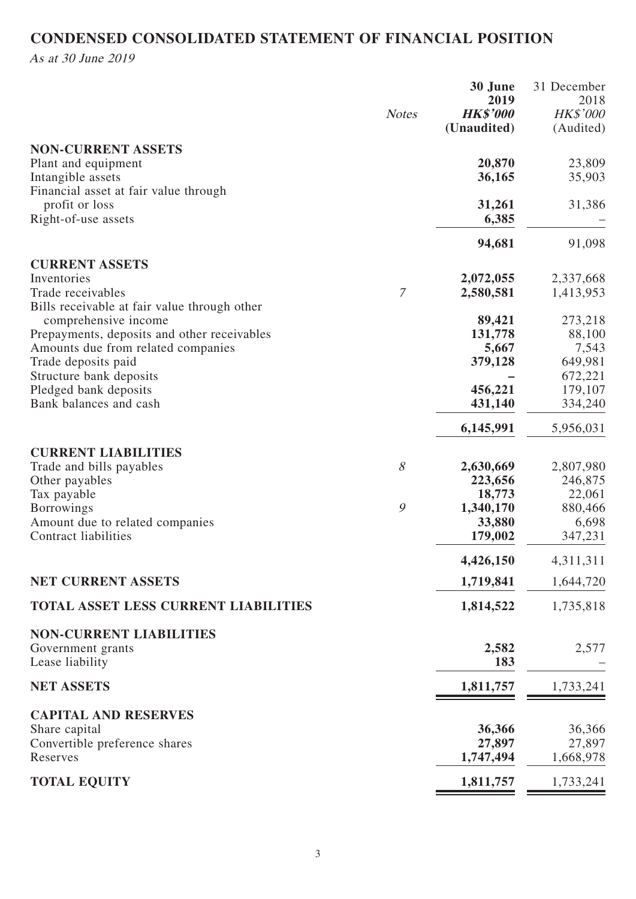# **CONDENSED CONSOLIDATED STATEMENT OF FINANCIAL POSITION**

As at 30 June 2019

|                                                                   |              | 30 June<br>2019                | 31 December<br>2018   |
|-------------------------------------------------------------------|--------------|--------------------------------|-----------------------|
|                                                                   | <b>Notes</b> | <b>HK\$'000</b><br>(Unaudited) | HK\$'000<br>(Audited) |
| <b>NON-CURRENT ASSETS</b>                                         |              |                                |                       |
| Plant and equipment                                               |              | 20,870                         | 23,809                |
| Intangible assets<br>Financial asset at fair value through        |              | 36,165                         | 35,903                |
| profit or loss                                                    |              | 31,261                         | 31,386                |
| Right-of-use assets                                               |              | 6,385                          |                       |
|                                                                   |              | 94,681                         | 91,098                |
| <b>CURRENT ASSETS</b>                                             |              |                                |                       |
| Inventories                                                       |              | 2,072,055                      | 2,337,668             |
| Trade receivables<br>Bills receivable at fair value through other | $\mathcal I$ | 2,580,581                      | 1,413,953             |
| comprehensive income                                              |              | 89,421                         | 273,218               |
| Prepayments, deposits and other receivables                       |              | 131,778                        | 88,100                |
| Amounts due from related companies                                |              | 5,667                          | 7,543                 |
| Trade deposits paid                                               |              | 379,128                        | 649,981               |
| Structure bank deposits<br>Pledged bank deposits                  |              | 456,221                        | 672,221<br>179,107    |
| Bank balances and cash                                            |              | 431,140                        | 334,240               |
|                                                                   |              | 6,145,991                      | 5,956,031             |
| <b>CURRENT LIABILITIES</b>                                        |              |                                |                       |
| Trade and bills payables                                          | 8            | 2,630,669                      | 2,807,980             |
| Other payables                                                    |              | 223,656                        | 246,875               |
| Tax payable                                                       |              | 18,773                         | 22,061                |
| <b>Borrowings</b>                                                 | 9            | 1,340,170                      | 880,466               |
| Amount due to related companies<br>Contract liabilities           |              | 33,880<br>179,002              | 6,698<br>347,231      |
|                                                                   |              | 4,426,150                      | 4,311,311             |
| <b>NET CURRENT ASSETS</b>                                         |              | 1,719,841                      | 1,644,720             |
| TOTAL ASSET LESS CURRENT LIABILITIES                              |              | 1,814,522                      | 1,735,818             |
| <b>NON-CURRENT LIABILITIES</b>                                    |              |                                |                       |
| Government grants                                                 |              | 2,582                          | 2,577                 |
| Lease liability                                                   |              | 183                            |                       |
| <b>NET ASSETS</b>                                                 |              | 1,811,757                      | 1,733,241             |
| <b>CAPITAL AND RESERVES</b>                                       |              |                                |                       |
| Share capital                                                     |              | 36,366                         | 36,366                |
| Convertible preference shares                                     |              | 27,897                         | 27,897                |
| Reserves                                                          |              | 1,747,494                      | 1,668,978             |
| <b>TOTAL EQUITY</b>                                               |              | 1,811,757                      | 1,733,241             |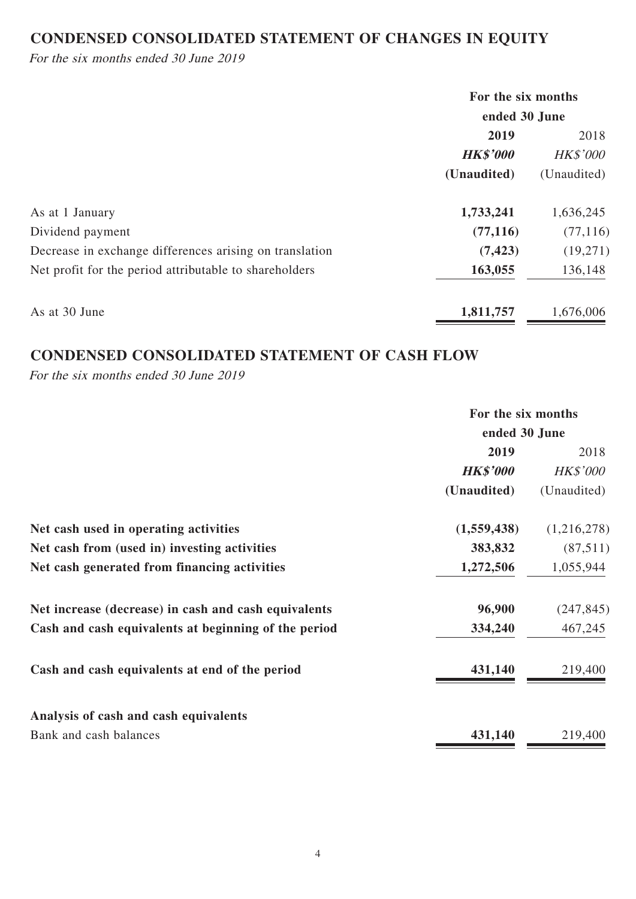# **CONDENSED CONSOLIDATED STATEMENT OF CHANGES IN EQUITY**

For the six months ended 30 June 2019

|                                                         | For the six months |                 |  |
|---------------------------------------------------------|--------------------|-----------------|--|
|                                                         | ended 30 June      |                 |  |
|                                                         | 2019               | 2018            |  |
|                                                         | <b>HK\$'000</b>    | <b>HK\$'000</b> |  |
|                                                         | (Unaudited)        | (Unaudited)     |  |
| As at 1 January                                         | 1,733,241          | 1,636,245       |  |
| Dividend payment                                        | (77, 116)          | (77, 116)       |  |
| Decrease in exchange differences arising on translation | (7, 423)           | (19,271)        |  |
| Net profit for the period attributable to shareholders  | 163,055            | 136,148         |  |
| As at 30 June                                           | 1,811,757          | 1,676,006       |  |

## **CONDENSED CONSOLIDATED STATEMENT OF CASH FLOW**

For the six months ended 30 June 2019

|                                                      | For the six months |                 |
|------------------------------------------------------|--------------------|-----------------|
|                                                      | ended 30 June      |                 |
|                                                      | 2019               | 2018            |
|                                                      | <b>HK\$'000</b>    | <b>HK\$'000</b> |
|                                                      | (Unaudited)        | (Unaudited)     |
| Net cash used in operating activities                | (1,559,438)        | (1,216,278)     |
| Net cash from (used in) investing activities         | 383,832            | (87,511)        |
| Net cash generated from financing activities         | 1,272,506          | 1,055,944       |
| Net increase (decrease) in cash and cash equivalents | 96,900             | (247, 845)      |
| Cash and cash equivalents at beginning of the period | 334,240            | 467,245         |
| Cash and cash equivalents at end of the period       | 431,140            | 219,400         |
| Analysis of cash and cash equivalents                |                    |                 |
| Bank and cash balances                               | 431,140            | 219,400         |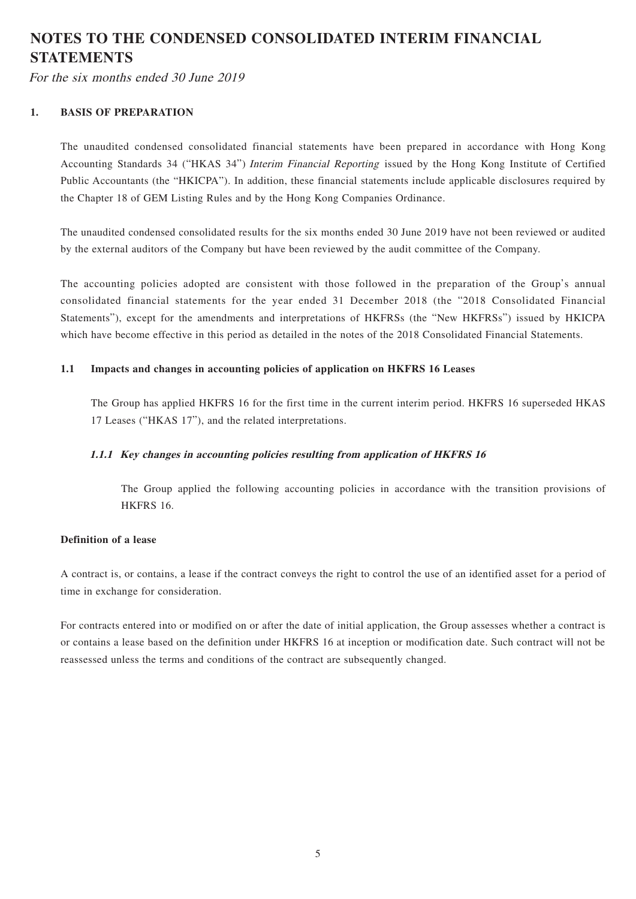# **NOTES TO THE CONDENSED CONSOLIDATED INTERIM FINANCIAL STATEMENTS**

For the six months ended 30 June 2019

### **1. BASIS OF PREPARATION**

The unaudited condensed consolidated financial statements have been prepared in accordance with Hong Kong Accounting Standards 34 ("HKAS 34") Interim Financial Reporting issued by the Hong Kong Institute of Certified Public Accountants (the "HKICPA"). In addition, these financial statements include applicable disclosures required by the Chapter 18 of GEM Listing Rules and by the Hong Kong Companies Ordinance.

The unaudited condensed consolidated results for the six months ended 30 June 2019 have not been reviewed or audited by the external auditors of the Company but have been reviewed by the audit committee of the Company.

The accounting policies adopted are consistent with those followed in the preparation of the Group's annual consolidated financial statements for the year ended 31 December 2018 (the "2018 Consolidated Financial Statements"), except for the amendments and interpretations of HKFRSs (the "New HKFRSs") issued by HKICPA which have become effective in this period as detailed in the notes of the 2018 Consolidated Financial Statements.

### **1.1 Impacts and changes in accounting policies of application on HKFRS 16 Leases**

The Group has applied HKFRS 16 for the first time in the current interim period. HKFRS 16 superseded HKAS 17 Leases ("HKAS 17"), and the related interpretations.

### **1.1.1 Key changes in accounting policies resulting from application of HKFRS 16**

The Group applied the following accounting policies in accordance with the transition provisions of HKFRS 16.

### **Definition of a lease**

A contract is, or contains, a lease if the contract conveys the right to control the use of an identified asset for a period of time in exchange for consideration.

For contracts entered into or modified on or after the date of initial application, the Group assesses whether a contract is or contains a lease based on the definition under HKFRS 16 at inception or modification date. Such contract will not be reassessed unless the terms and conditions of the contract are subsequently changed.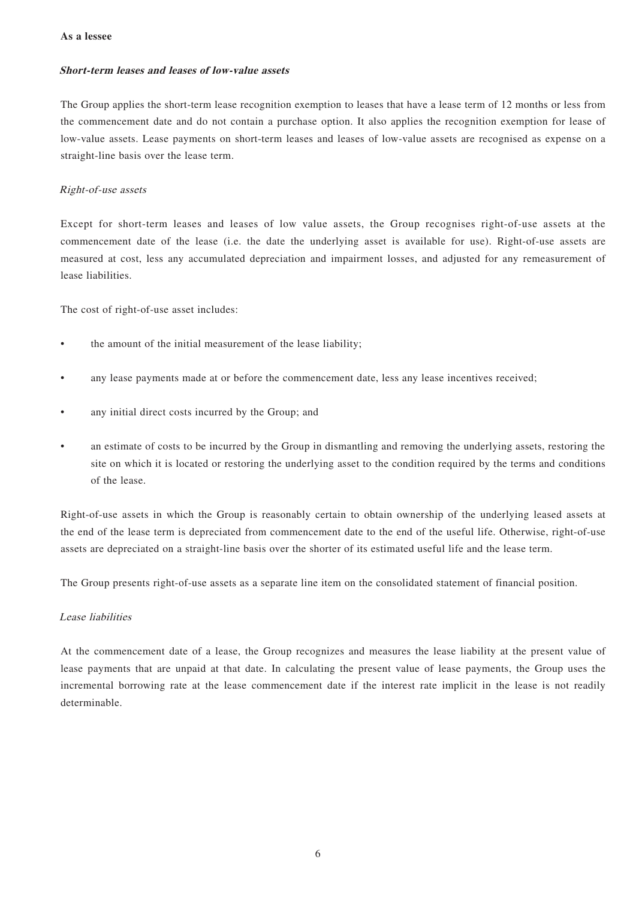#### **As a lessee**

#### **Short-term leases and leases of low-value assets**

The Group applies the short-term lease recognition exemption to leases that have a lease term of 12 months or less from the commencement date and do not contain a purchase option. It also applies the recognition exemption for lease of low-value assets. Lease payments on short-term leases and leases of low-value assets are recognised as expense on a straight-line basis over the lease term.

#### Right-of-use assets

Except for short-term leases and leases of low value assets, the Group recognises right-of-use assets at the commencement date of the lease (i.e. the date the underlying asset is available for use). Right-of-use assets are measured at cost, less any accumulated depreciation and impairment losses, and adjusted for any remeasurement of lease liabilities.

The cost of right-of-use asset includes:

- the amount of the initial measurement of the lease liability;
- any lease payments made at or before the commencement date, less any lease incentives received;
- any initial direct costs incurred by the Group; and
- an estimate of costs to be incurred by the Group in dismantling and removing the underlying assets, restoring the site on which it is located or restoring the underlying asset to the condition required by the terms and conditions of the lease.

Right-of-use assets in which the Group is reasonably certain to obtain ownership of the underlying leased assets at the end of the lease term is depreciated from commencement date to the end of the useful life. Otherwise, right-of-use assets are depreciated on a straight-line basis over the shorter of its estimated useful life and the lease term.

The Group presents right-of-use assets as a separate line item on the consolidated statement of financial position.

#### Lease liabilities

At the commencement date of a lease, the Group recognizes and measures the lease liability at the present value of lease payments that are unpaid at that date. In calculating the present value of lease payments, the Group uses the incremental borrowing rate at the lease commencement date if the interest rate implicit in the lease is not readily determinable.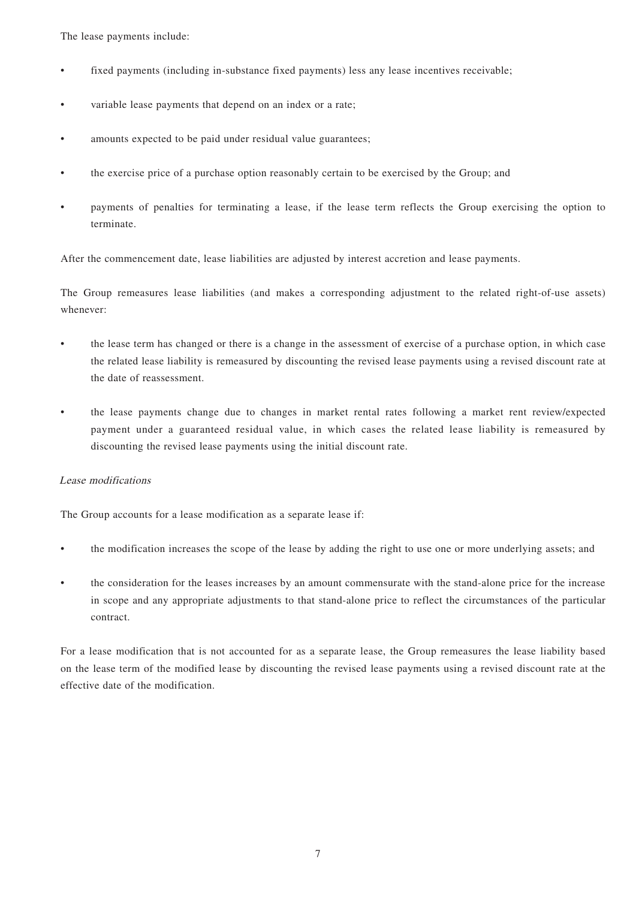The lease payments include:

- fixed payments (including in-substance fixed payments) less any lease incentives receivable;
- variable lease payments that depend on an index or a rate;
- amounts expected to be paid under residual value guarantees;
- the exercise price of a purchase option reasonably certain to be exercised by the Group; and
- payments of penalties for terminating a lease, if the lease term reflects the Group exercising the option to terminate.

After the commencement date, lease liabilities are adjusted by interest accretion and lease payments.

The Group remeasures lease liabilities (and makes a corresponding adjustment to the related right-of-use assets) whenever:

- the lease term has changed or there is a change in the assessment of exercise of a purchase option, in which case the related lease liability is remeasured by discounting the revised lease payments using a revised discount rate at the date of reassessment.
- the lease payments change due to changes in market rental rates following a market rent review/expected payment under a guaranteed residual value, in which cases the related lease liability is remeasured by discounting the revised lease payments using the initial discount rate.

### Lease modifications

The Group accounts for a lease modification as a separate lease if:

- the modification increases the scope of the lease by adding the right to use one or more underlying assets; and
- the consideration for the leases increases by an amount commensurate with the stand-alone price for the increase in scope and any appropriate adjustments to that stand-alone price to reflect the circumstances of the particular contract.

For a lease modification that is not accounted for as a separate lease, the Group remeasures the lease liability based on the lease term of the modified lease by discounting the revised lease payments using a revised discount rate at the effective date of the modification.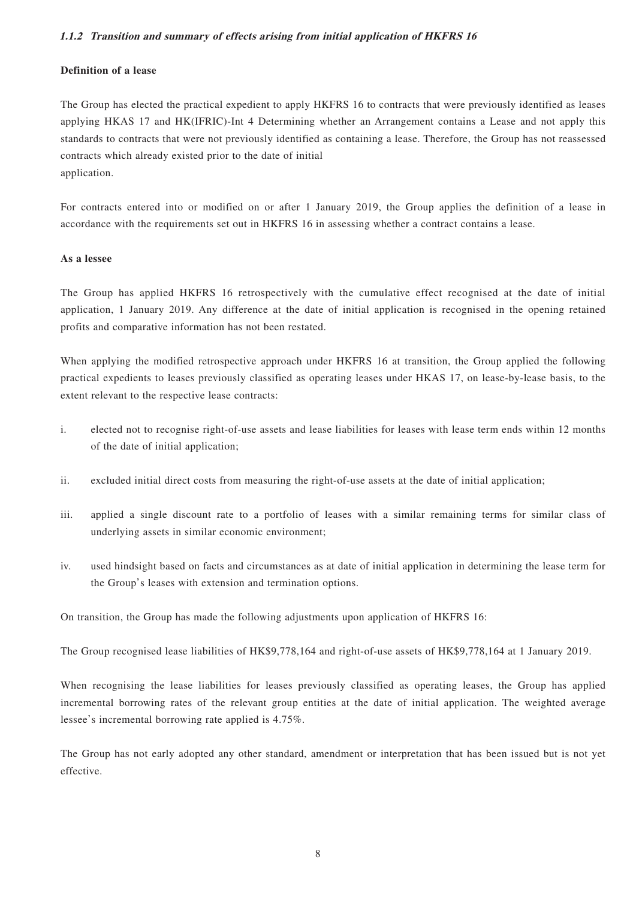### **1.1.2 Transition and summary of effects arising from initial application of HKFRS 16**

### **Definition of a lease**

The Group has elected the practical expedient to apply HKFRS 16 to contracts that were previously identified as leases applying HKAS 17 and HK(IFRIC)-Int 4 Determining whether an Arrangement contains a Lease and not apply this standards to contracts that were not previously identified as containing a lease. Therefore, the Group has not reassessed contracts which already existed prior to the date of initial application.

For contracts entered into or modified on or after 1 January 2019, the Group applies the definition of a lease in accordance with the requirements set out in HKFRS 16 in assessing whether a contract contains a lease.

#### **As a lessee**

The Group has applied HKFRS 16 retrospectively with the cumulative effect recognised at the date of initial application, 1 January 2019. Any difference at the date of initial application is recognised in the opening retained profits and comparative information has not been restated.

When applying the modified retrospective approach under HKFRS 16 at transition, the Group applied the following practical expedients to leases previously classified as operating leases under HKAS 17, on lease-by-lease basis, to the extent relevant to the respective lease contracts:

- i. elected not to recognise right-of-use assets and lease liabilities for leases with lease term ends within 12 months of the date of initial application;
- ii. excluded initial direct costs from measuring the right-of-use assets at the date of initial application;
- iii. applied a single discount rate to a portfolio of leases with a similar remaining terms for similar class of underlying assets in similar economic environment;
- iv. used hindsight based on facts and circumstances as at date of initial application in determining the lease term for the Group's leases with extension and termination options.

On transition, the Group has made the following adjustments upon application of HKFRS 16:

The Group recognised lease liabilities of HK\$9,778,164 and right-of-use assets of HK\$9,778,164 at 1 January 2019.

When recognising the lease liabilities for leases previously classified as operating leases, the Group has applied incremental borrowing rates of the relevant group entities at the date of initial application. The weighted average lessee's incremental borrowing rate applied is 4.75%.

The Group has not early adopted any other standard, amendment or interpretation that has been issued but is not yet effective.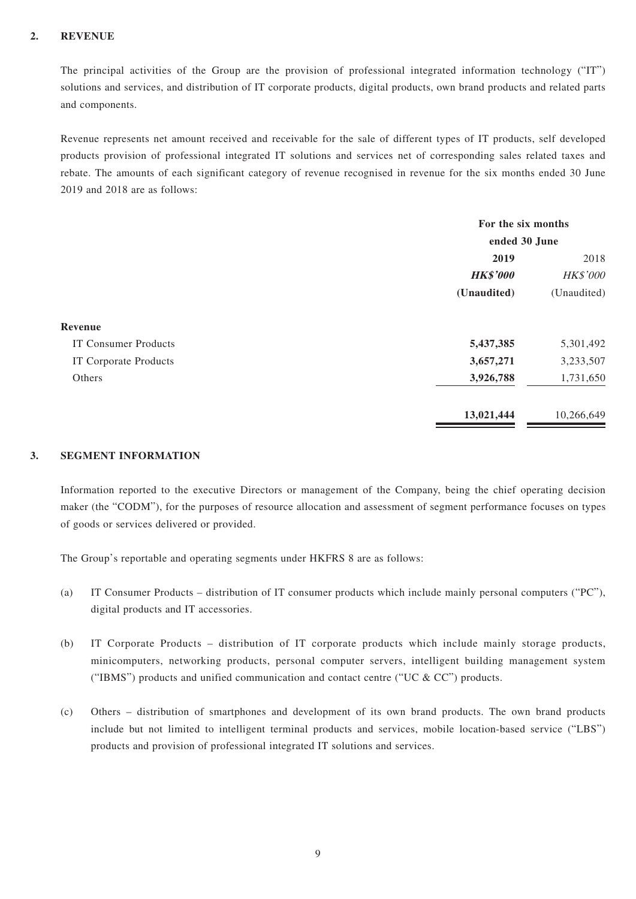### **2. REVENUE**

The principal activities of the Group are the provision of professional integrated information technology ("IT") solutions and services, and distribution of IT corporate products, digital products, own brand products and related parts and components.

Revenue represents net amount received and receivable for the sale of different types of IT products, self developed products provision of professional integrated IT solutions and services net of corresponding sales related taxes and rebate. The amounts of each significant category of revenue recognised in revenue for the six months ended 30 June 2019 and 2018 are as follows:

|                             | For the six months<br>ended 30 June |             |  |
|-----------------------------|-------------------------------------|-------------|--|
|                             |                                     |             |  |
|                             | 2019                                | 2018        |  |
|                             | <b>HK\$'000</b>                     | HK\$'000    |  |
|                             | (Unaudited)                         | (Unaudited) |  |
| Revenue                     |                                     |             |  |
| <b>IT Consumer Products</b> | 5,437,385                           | 5,301,492   |  |
| IT Corporate Products       | 3,657,271                           | 3,233,507   |  |
| Others                      | 3,926,788                           | 1,731,650   |  |
|                             | 13,021,444                          | 10,266,649  |  |

### **3. SEGMENT INFORMATION**

Information reported to the executive Directors or management of the Company, being the chief operating decision maker (the "CODM"), for the purposes of resource allocation and assessment of segment performance focuses on types of goods or services delivered or provided.

The Group's reportable and operating segments under HKFRS 8 are as follows:

- (a) IT Consumer Products distribution of IT consumer products which include mainly personal computers ("PC"), digital products and IT accessories.
- (b) IT Corporate Products distribution of IT corporate products which include mainly storage products, minicomputers, networking products, personal computer servers, intelligent building management system ("IBMS") products and unified communication and contact centre ("UC  $& CC$ ") products.
- (c) Others distribution of smartphones and development of its own brand products. The own brand products include but not limited to intelligent terminal products and services, mobile location-based service ("LBS") products and provision of professional integrated IT solutions and services.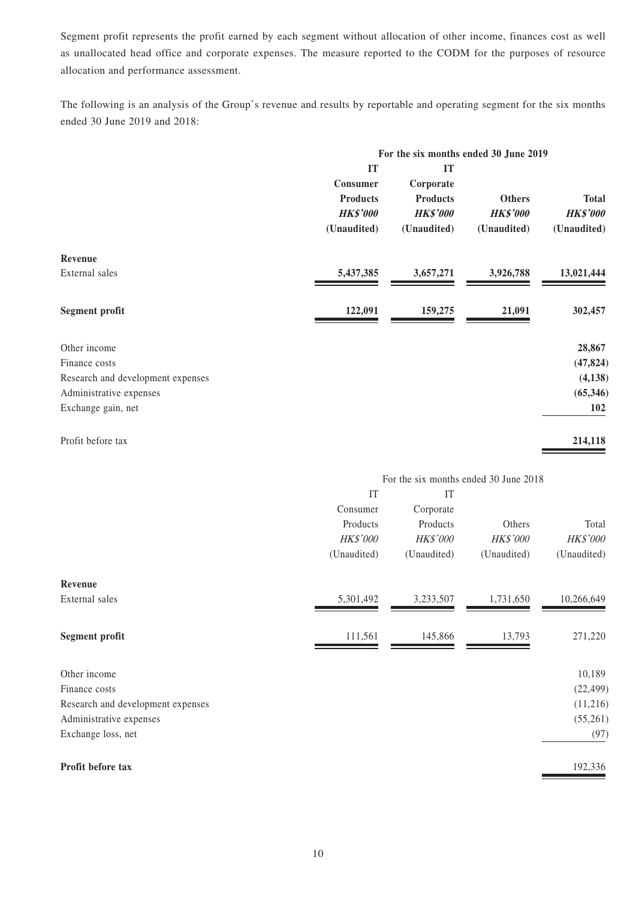Segment profit represents the profit earned by each segment without allocation of other income, finances cost as well as unallocated head office and corporate expenses. The measure reported to the CODM for the purposes of resource allocation and performance assessment.

The following is an analysis of the Group's revenue and results by reportable and operating segment for the six months ended 30 June 2019 and 2018:

|                                   |                                                                     |                                                                      | For the six months ended 30 June 2019           |                                                |
|-----------------------------------|---------------------------------------------------------------------|----------------------------------------------------------------------|-------------------------------------------------|------------------------------------------------|
|                                   | IT<br>Consumer<br><b>Products</b><br><b>HK\$'000</b><br>(Unaudited) | IT<br>Corporate<br><b>Products</b><br><b>HK\$'000</b><br>(Unaudited) | <b>Others</b><br><b>HK\$'000</b><br>(Unaudited) | <b>Total</b><br><b>HK\$'000</b><br>(Unaudited) |
| Revenue                           |                                                                     |                                                                      |                                                 |                                                |
| External sales                    | 5,437,385                                                           | 3,657,271                                                            | 3,926,788                                       | 13,021,444                                     |
| <b>Segment profit</b>             | 122,091                                                             | 159,275                                                              | 21,091                                          | 302,457                                        |
| Other income                      |                                                                     |                                                                      |                                                 | 28,867                                         |
| Finance costs                     |                                                                     |                                                                      |                                                 | (47, 824)                                      |
| Research and development expenses |                                                                     |                                                                      |                                                 | (4, 138)                                       |
| Administrative expenses           |                                                                     |                                                                      |                                                 | (65, 346)                                      |
| Exchange gain, net                |                                                                     |                                                                      |                                                 | 102                                            |
| Profit before tax                 |                                                                     |                                                                      |                                                 | 214,118                                        |
|                                   |                                                                     |                                                                      | For the six months ended 30 June 2018           |                                                |
|                                   | IT                                                                  | IT                                                                   |                                                 |                                                |
|                                   | Consumer                                                            | Corporate                                                            |                                                 |                                                |
|                                   | Products                                                            | Products                                                             | Others                                          | Total                                          |
|                                   | HK\$'000                                                            | HK\$'000                                                             | HK\$'000                                        | HK\$'000                                       |
|                                   | (Unaudited)                                                         | (Unaudited)                                                          | (Unaudited)                                     | (Unaudited)                                    |
| Revenue                           |                                                                     |                                                                      |                                                 |                                                |
| External sales                    | 5,301,492                                                           | 3,233,507                                                            | 1,731,650                                       | 10,266,649                                     |

| Segment profit                    | 111,561 | 145,866 | 13.793 | 271,220   |
|-----------------------------------|---------|---------|--------|-----------|
|                                   |         |         |        |           |
| Other income                      |         |         |        | 10,189    |
| Finance costs                     |         |         |        | (22, 499) |
| Research and development expenses |         |         |        | (11,216)  |
| Administrative expenses           |         |         |        | (55,261)  |
| Exchange loss, net                |         |         |        | (97)      |
|                                   |         |         |        |           |
| Profit before tax                 |         |         |        | 192,336   |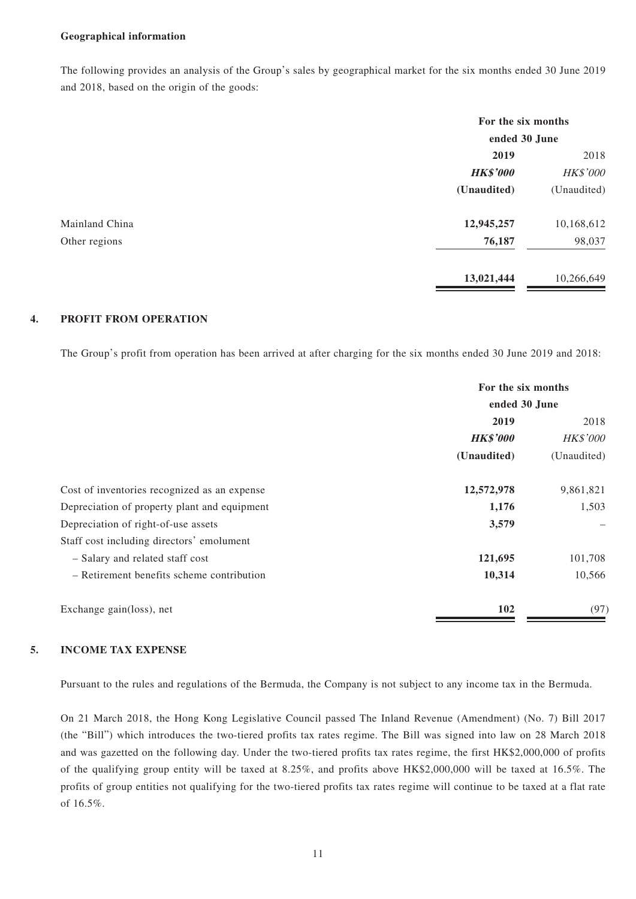#### **Geographical information**

The following provides an analysis of the Group's sales by geographical market for the six months ended 30 June 2019 and 2018, based on the origin of the goods:

|                |                 | For the six months |  |
|----------------|-----------------|--------------------|--|
|                | ended 30 June   |                    |  |
|                | 2019            | 2018               |  |
|                | <b>HK\$'000</b> | HK\$'000           |  |
|                | (Unaudited)     | (Unaudited)        |  |
| Mainland China | 12,945,257      | 10,168,612         |  |
| Other regions  | 76,187          | 98,037             |  |
|                | 13,021,444      | 10,266,649         |  |

### **4. PROFIT FROM OPERATION**

The Group's profit from operation has been arrived at after charging for the six months ended 30 June 2019 and 2018:

|                                              | For the six months<br>ended 30 June |             |  |
|----------------------------------------------|-------------------------------------|-------------|--|
|                                              |                                     |             |  |
|                                              | 2019                                |             |  |
|                                              | <b>HK\$'000</b><br><b>HK\$'000</b>  |             |  |
|                                              | (Unaudited)                         | (Unaudited) |  |
| Cost of inventories recognized as an expense | 12,572,978                          | 9,861,821   |  |
| Depreciation of property plant and equipment | 1,176                               | 1,503       |  |
| Depreciation of right-of-use assets          | 3,579                               |             |  |
| Staff cost including directors' emolument    |                                     |             |  |
| - Salary and related staff cost              | 121,695                             | 101,708     |  |
| - Retirement benefits scheme contribution    | 10,314                              | 10,566      |  |
| Exchange gain(loss), net                     | 102                                 | (97)        |  |

### **5. INCOME TAX EXPENSE**

Pursuant to the rules and regulations of the Bermuda, the Company is not subject to any income tax in the Bermuda.

On 21 March 2018, the Hong Kong Legislative Council passed The Inland Revenue (Amendment) (No. 7) Bill 2017 (the "Bill") which introduces the two-tiered profits tax rates regime. The Bill was signed into law on 28 March 2018 and was gazetted on the following day. Under the two-tiered profits tax rates regime, the first HK\$2,000,000 of profits of the qualifying group entity will be taxed at 8.25%, and profits above HK\$2,000,000 will be taxed at 16.5%. The profits of group entities not qualifying for the two-tiered profits tax rates regime will continue to be taxed at a flat rate of 16.5%.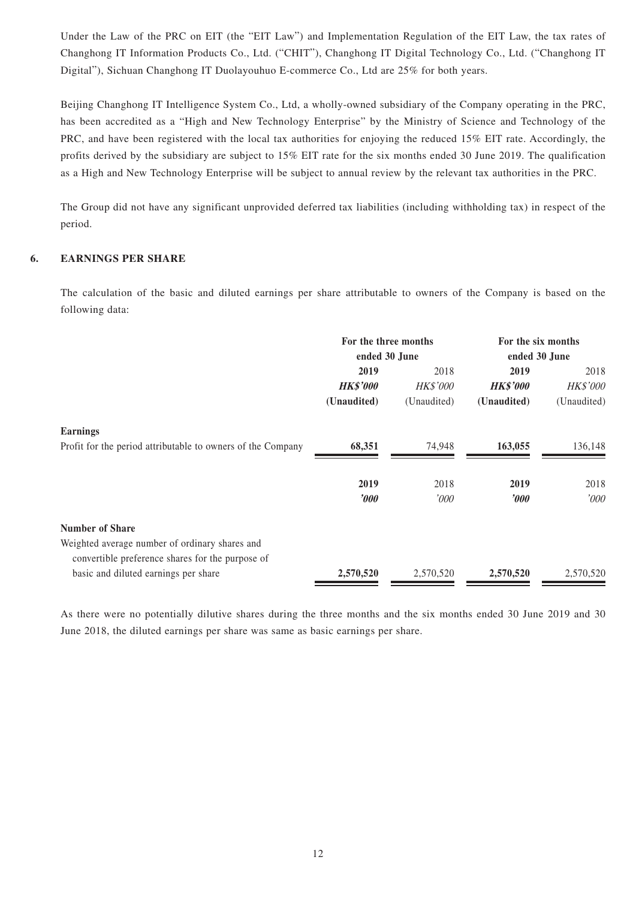Under the Law of the PRC on EIT (the "EIT Law") and Implementation Regulation of the EIT Law, the tax rates of Changhong IT Information Products Co., Ltd. ("CHIT"), Changhong IT Digital Technology Co., Ltd. ("Changhong IT Digital"), Sichuan Changhong IT Duolayouhuo E-commerce Co., Ltd are 25% for both years.

Beijing Changhong IT Intelligence System Co., Ltd, a wholly-owned subsidiary of the Company operating in the PRC, has been accredited as a "High and New Technology Enterprise" by the Ministry of Science and Technology of the PRC, and have been registered with the local tax authorities for enjoying the reduced 15% EIT rate. Accordingly, the profits derived by the subsidiary are subject to 15% EIT rate for the six months ended 30 June 2019. The qualification as a High and New Technology Enterprise will be subject to annual review by the relevant tax authorities in the PRC.

The Group did not have any significant unprovided deferred tax liabilities (including withholding tax) in respect of the period.

### **6. EARNINGS PER SHARE**

The calculation of the basic and diluted earnings per share attributable to owners of the Company is based on the following data:

|                                                             | For the three months<br>ended 30 June |                 | For the six months<br>ended 30 June |                 |  |
|-------------------------------------------------------------|---------------------------------------|-----------------|-------------------------------------|-----------------|--|
|                                                             | 2019                                  | 2018<br>2019    |                                     | 2018            |  |
|                                                             | <b>HK\$'000</b>                       | <b>HK\$'000</b> | <b>HK\$'000</b>                     | <b>HK\$'000</b> |  |
|                                                             | (Unaudited)                           | (Unaudited)     | (Unaudited)                         | (Unaudited)     |  |
| <b>Earnings</b>                                             |                                       |                 |                                     |                 |  |
| Profit for the period attributable to owners of the Company | 68,351                                | 74,948          | 163,055                             | 136,148         |  |
|                                                             | 2019                                  | 2018            | 2019                                | 2018            |  |
|                                                             | $\boldsymbol{\it v00}$                | '000'           | $\boldsymbol{\delta}$               | '000            |  |
| <b>Number of Share</b>                                      |                                       |                 |                                     |                 |  |
| Weighted average number of ordinary shares and              |                                       |                 |                                     |                 |  |
| convertible preference shares for the purpose of            |                                       |                 |                                     |                 |  |
| basic and diluted earnings per share                        | 2,570,520                             | 2,570,520       | 2,570,520                           | 2,570,520       |  |

As there were no potentially dilutive shares during the three months and the six months ended 30 June 2019 and 30 June 2018, the diluted earnings per share was same as basic earnings per share.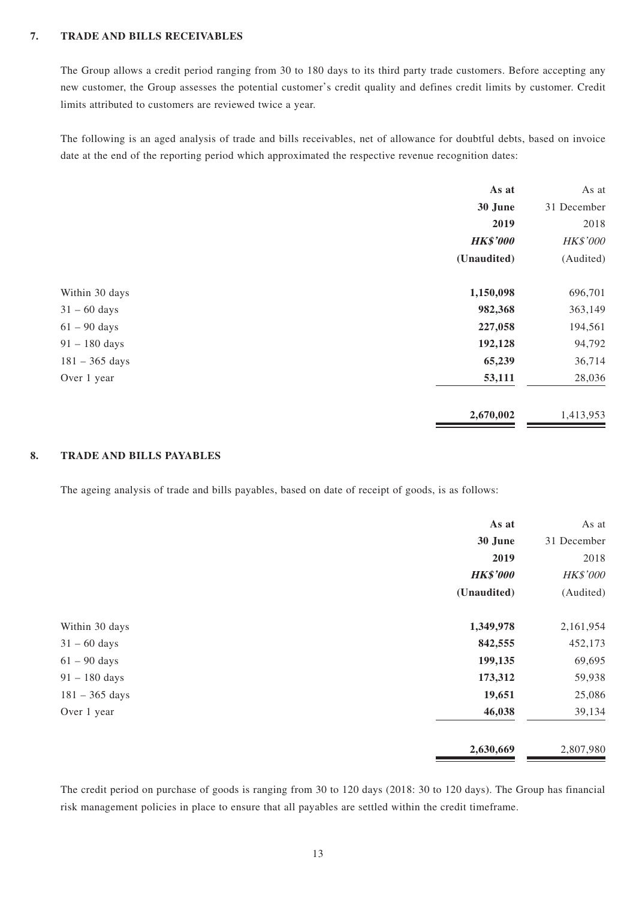### **7. TRADE AND BILLS RECEIVABLES**

The Group allows a credit period ranging from 30 to 180 days to its third party trade customers. Before accepting any new customer, the Group assesses the potential customer's credit quality and defines credit limits by customer. Credit limits attributed to customers are reviewed twice a year.

The following is an aged analysis of trade and bills receivables, net of allowance for doubtful debts, based on invoice date at the end of the reporting period which approximated the respective revenue recognition dates:

|                  | As at           | As at       |
|------------------|-----------------|-------------|
|                  | 30 June         | 31 December |
|                  | 2019            | 2018        |
|                  | <b>HK\$'000</b> | HK\$'000    |
|                  | (Unaudited)     | (Audited)   |
| Within 30 days   | 1,150,098       | 696,701     |
| $31 - 60$ days   | 982,368         | 363,149     |
| $61 - 90$ days   | 227,058         | 194,561     |
| $91 - 180$ days  | 192,128         | 94,792      |
| $181 - 365$ days | 65,239          | 36,714      |
| Over 1 year      | 53,111          | 28,036      |
|                  | 2,670,002       | 1,413,953   |

### **8. TRADE AND BILLS PAYABLES**

The ageing analysis of trade and bills payables, based on date of receipt of goods, is as follows:

|                  | As at           | As at           |
|------------------|-----------------|-----------------|
|                  | 30 June         | 31 December     |
|                  | 2019            | 2018            |
|                  | <b>HK\$'000</b> | <b>HK\$'000</b> |
|                  | (Unaudited)     | (Audited)       |
| Within 30 days   | 1,349,978       | 2,161,954       |
| $31 - 60$ days   | 842,555         | 452,173         |
| $61 - 90$ days   | 199,135         | 69,695          |
| $91 - 180$ days  | 173,312         | 59,938          |
| $181 - 365$ days | 19,651          | 25,086          |
| Over 1 year      | 46,038          | 39,134          |
|                  | 2,630,669       | 2,807,980       |

The credit period on purchase of goods is ranging from 30 to 120 days (2018: 30 to 120 days). The Group has financial risk management policies in place to ensure that all payables are settled within the credit timeframe.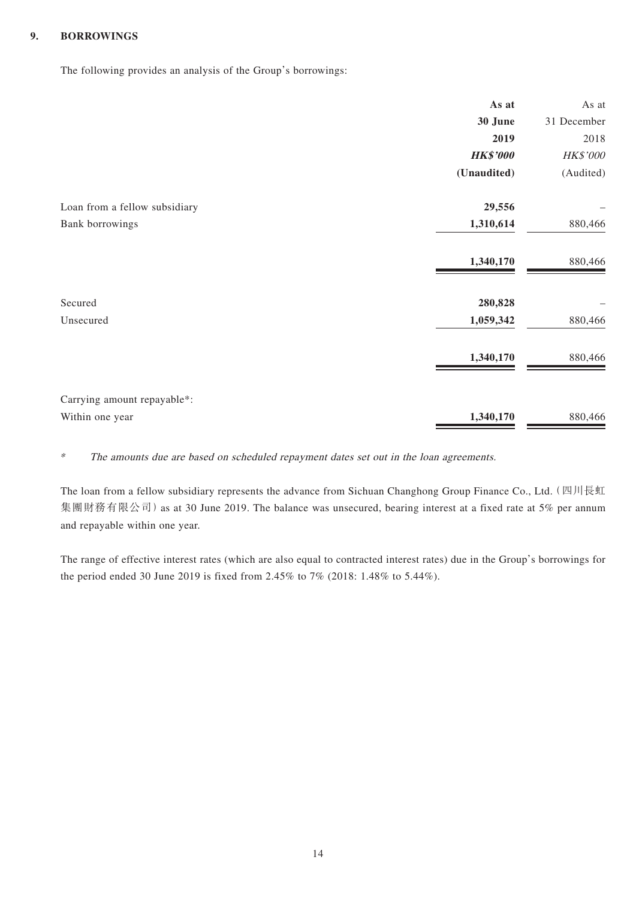### **9. BORROWINGS**

The following provides an analysis of the Group's borrowings:

|                               | As at           | As at       |
|-------------------------------|-----------------|-------------|
|                               | 30 June         | 31 December |
|                               | 2019            | 2018        |
|                               | <b>HK\$'000</b> | HK\$'000    |
|                               | (Unaudited)     | (Audited)   |
| Loan from a fellow subsidiary | 29,556          |             |
| Bank borrowings               | 1,310,614       | 880,466     |
|                               | 1,340,170       | 880,466     |
| Secured                       | 280,828         |             |
| Unsecured                     | 1,059,342       | 880,466     |
|                               | 1,340,170       | 880,466     |
| Carrying amount repayable*:   |                 |             |
| Within one year               | 1,340,170       | 880,466     |

\* The amounts due are based on scheduled repayment dates set out in the loan agreements.

The loan from a fellow subsidiary represents the advance from Sichuan Changhong Group Finance Co., Ltd.(四川長虹 集團財務有限公司) as at 30 June 2019. The balance was unsecured, bearing interest at a fixed rate at 5% per annum and repayable within one year.

The range of effective interest rates (which are also equal to contracted interest rates) due in the Group's borrowings for the period ended 30 June 2019 is fixed from 2.45% to 7% (2018: 1.48% to 5.44%).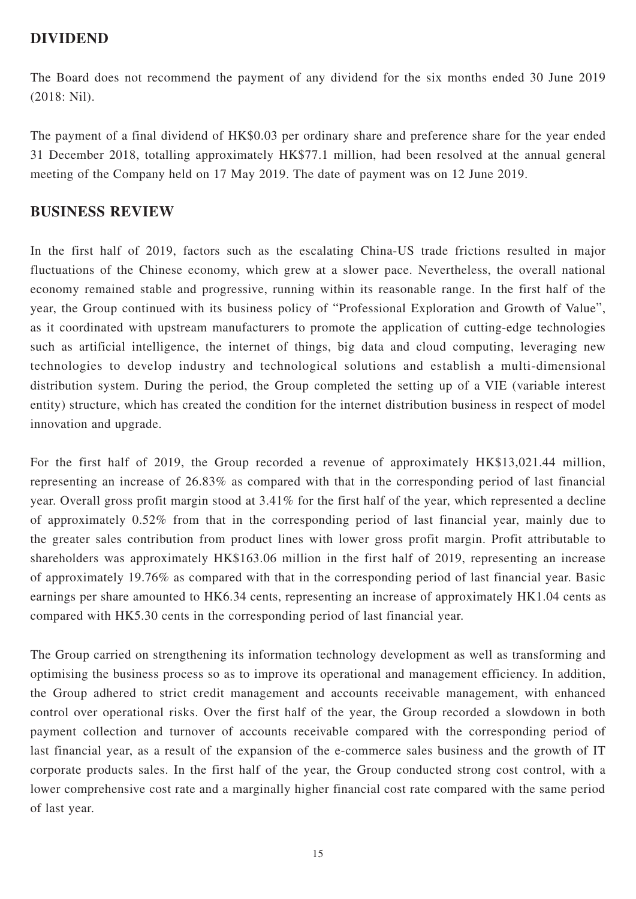## **DIVIDEND**

The Board does not recommend the payment of any dividend for the six months ended 30 June 2019 (2018: Nil).

The payment of a final dividend of HK\$0.03 per ordinary share and preference share for the year ended 31 December 2018, totalling approximately HK\$77.1 million, had been resolved at the annual general meeting of the Company held on 17 May 2019. The date of payment was on 12 June 2019.

## **BUSINESS REVIEW**

In the first half of 2019, factors such as the escalating China-US trade frictions resulted in major fluctuations of the Chinese economy, which grew at a slower pace. Nevertheless, the overall national economy remained stable and progressive, running within its reasonable range. In the first half of the year, the Group continued with its business policy of "Professional Exploration and Growth of Value", as it coordinated with upstream manufacturers to promote the application of cutting-edge technologies such as artificial intelligence, the internet of things, big data and cloud computing, leveraging new technologies to develop industry and technological solutions and establish a multi-dimensional distribution system. During the period, the Group completed the setting up of a VIE (variable interest entity) structure, which has created the condition for the internet distribution business in respect of model innovation and upgrade.

For the first half of 2019, the Group recorded a revenue of approximately HK\$13,021.44 million, representing an increase of 26.83% as compared with that in the corresponding period of last financial year. Overall gross profit margin stood at 3.41% for the first half of the year, which represented a decline of approximately 0.52% from that in the corresponding period of last financial year, mainly due to the greater sales contribution from product lines with lower gross profit margin. Profit attributable to shareholders was approximately HK\$163.06 million in the first half of 2019, representing an increase of approximately 19.76% as compared with that in the corresponding period of last financial year. Basic earnings per share amounted to HK6.34 cents, representing an increase of approximately HK1.04 cents as compared with HK5.30 cents in the corresponding period of last financial year.

The Group carried on strengthening its information technology development as well as transforming and optimising the business process so as to improve its operational and management efficiency. In addition, the Group adhered to strict credit management and accounts receivable management, with enhanced control over operational risks. Over the first half of the year, the Group recorded a slowdown in both payment collection and turnover of accounts receivable compared with the corresponding period of last financial year, as a result of the expansion of the e-commerce sales business and the growth of IT corporate products sales. In the first half of the year, the Group conducted strong cost control, with a lower comprehensive cost rate and a marginally higher financial cost rate compared with the same period of last year.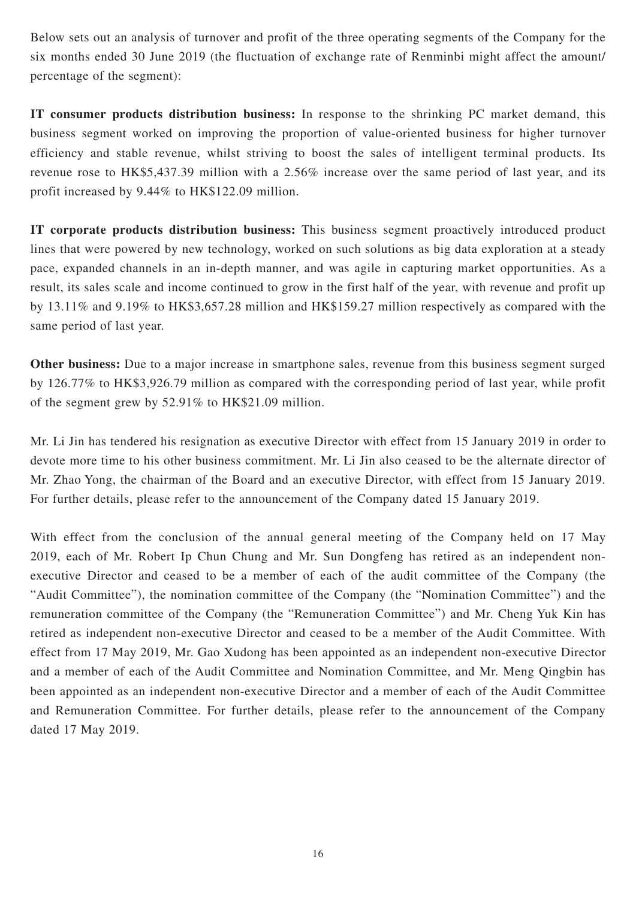Below sets out an analysis of turnover and profit of the three operating segments of the Company for the six months ended 30 June 2019 (the fluctuation of exchange rate of Renminbi might affect the amount/ percentage of the segment):

**IT consumer products distribution business:** In response to the shrinking PC market demand, this business segment worked on improving the proportion of value-oriented business for higher turnover efficiency and stable revenue, whilst striving to boost the sales of intelligent terminal products. Its revenue rose to HK\$5,437.39 million with a 2.56% increase over the same period of last year, and its profit increased by 9.44% to HK\$122.09 million.

**IT corporate products distribution business:** This business segment proactively introduced product lines that were powered by new technology, worked on such solutions as big data exploration at a steady pace, expanded channels in an in-depth manner, and was agile in capturing market opportunities. As a result, its sales scale and income continued to grow in the first half of the year, with revenue and profit up by 13.11% and 9.19% to HK\$3,657.28 million and HK\$159.27 million respectively as compared with the same period of last year.

**Other business:** Due to a major increase in smartphone sales, revenue from this business segment surged by 126.77% to HK\$3,926.79 million as compared with the corresponding period of last year, while profit of the segment grew by 52.91% to HK\$21.09 million.

Mr. Li Jin has tendered his resignation as executive Director with effect from 15 January 2019 in order to devote more time to his other business commitment. Mr. Li Jin also ceased to be the alternate director of Mr. Zhao Yong, the chairman of the Board and an executive Director, with effect from 15 January 2019. For further details, please refer to the announcement of the Company dated 15 January 2019.

With effect from the conclusion of the annual general meeting of the Company held on 17 May 2019, each of Mr. Robert Ip Chun Chung and Mr. Sun Dongfeng has retired as an independent nonexecutive Director and ceased to be a member of each of the audit committee of the Company (the "Audit Committee"), the nomination committee of the Company (the "Nomination Committee") and the remuneration committee of the Company (the "Remuneration Committee") and Mr. Cheng Yuk Kin has retired as independent non-executive Director and ceased to be a member of the Audit Committee. With effect from 17 May 2019, Mr. Gao Xudong has been appointed as an independent non-executive Director and a member of each of the Audit Committee and Nomination Committee, and Mr. Meng Qingbin has been appointed as an independent non-executive Director and a member of each of the Audit Committee and Remuneration Committee. For further details, please refer to the announcement of the Company dated 17 May 2019.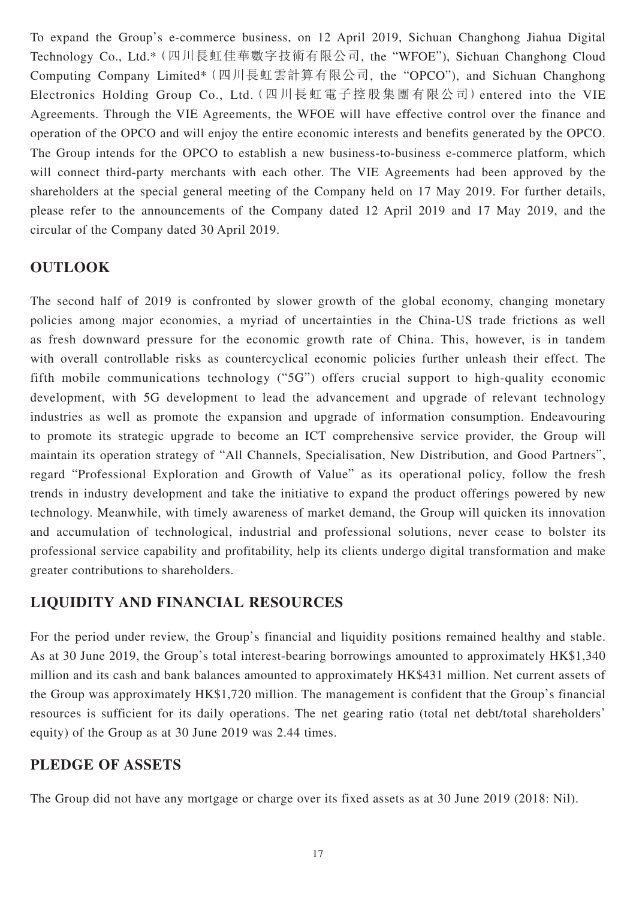To expand the Group's e-commerce business, on 12 April 2019, Sichuan Changhong Jiahua Digital Technology Co., Ltd.\*(四川長虹佳華數字技術有限公司, the "WFOE"), Sichuan Changhong Cloud Computing Company Limited\*(四川長虹雲計算有限公司, the "OPCO"), and Sichuan Changhong Electronics Holding Group Co., Ltd.(四川長虹電子控股集團有限公司)entered into the VIE Agreements. Through the VIE Agreements, the WFOE will have effective control over the finance and operation of the OPCO and will enjoy the entire economic interests and benefits generated by the OPCO. The Group intends for the OPCO to establish a new business-to-business e-commerce platform, which will connect third-party merchants with each other. The VIE Agreements had been approved by the shareholders at the special general meeting of the Company held on 17 May 2019. For further details, please refer to the announcements of the Company dated 12 April 2019 and 17 May 2019, and the circular of the Company dated 30 April 2019.

## **OUTLOOK**

The second half of 2019 is confronted by slower growth of the global economy, changing monetary policies among major economies, a myriad of uncertainties in the China-US trade frictions as well as fresh downward pressure for the economic growth rate of China. This, however, is in tandem with overall controllable risks as countercyclical economic policies further unleash their effect. The fifth mobile communications technology ("5G") offers crucial support to high-quality economic development, with 5G development to lead the advancement and upgrade of relevant technology industries as well as promote the expansion and upgrade of information consumption. Endeavouring to promote its strategic upgrade to become an ICT comprehensive service provider, the Group will maintain its operation strategy of "All Channels, Specialisation, New Distribution, and Good Partners", regard "Professional Exploration and Growth of Value" as its operational policy, follow the fresh trends in industry development and take the initiative to expand the product offerings powered by new technology. Meanwhile, with timely awareness of market demand, the Group will quicken its innovation and accumulation of technological, industrial and professional solutions, never cease to bolster its professional service capability and profitability, help its clients undergo digital transformation and make greater contributions to shareholders.

## **LIQUIDITY AND FINANCIAL RESOURCES**

For the period under review, the Group's financial and liquidity positions remained healthy and stable. As at 30 June 2019, the Group's total interest-bearing borrowings amounted to approximately HK\$1,340 million and its cash and bank balances amounted to approximately HK\$431 million. Net current assets of the Group was approximately HK\$1,720 million. The management is confident that the Group's financial resources is sufficient for its daily operations. The net gearing ratio (total net debt/total shareholders' equity) of the Group as at 30 June 2019 was 2.44 times.

## **PLEDGE OF ASSETS**

The Group did not have any mortgage or charge over its fixed assets as at 30 June 2019 (2018: Nil).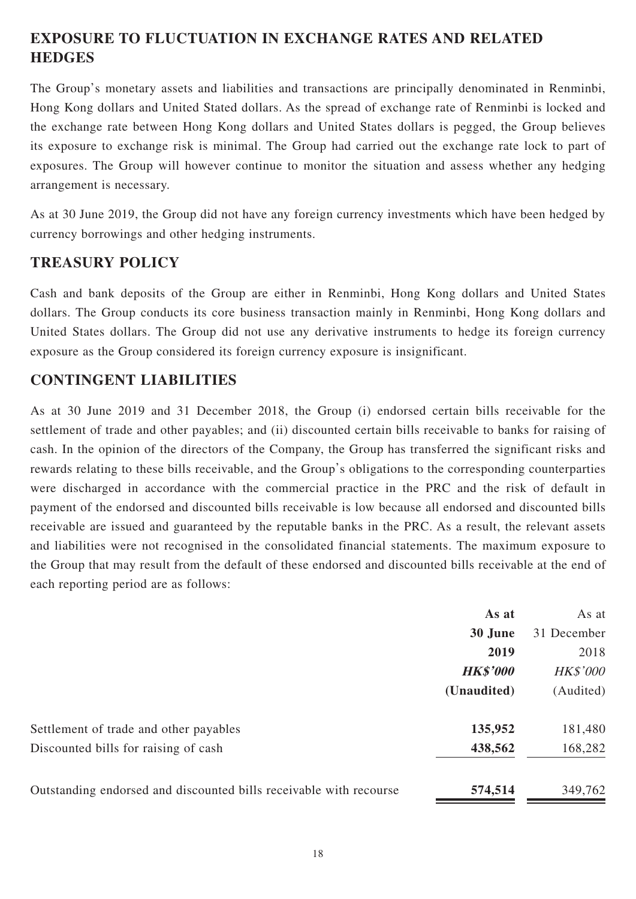# **EXPOSURE TO FLUCTUATION IN EXCHANGE RATES AND RELATED HEDGES**

The Group's monetary assets and liabilities and transactions are principally denominated in Renminbi, Hong Kong dollars and United Stated dollars. As the spread of exchange rate of Renminbi is locked and the exchange rate between Hong Kong dollars and United States dollars is pegged, the Group believes its exposure to exchange risk is minimal. The Group had carried out the exchange rate lock to part of exposures. The Group will however continue to monitor the situation and assess whether any hedging arrangement is necessary.

As at 30 June 2019, the Group did not have any foreign currency investments which have been hedged by currency borrowings and other hedging instruments.

## **TREASURY POLICY**

Cash and bank deposits of the Group are either in Renminbi, Hong Kong dollars and United States dollars. The Group conducts its core business transaction mainly in Renminbi, Hong Kong dollars and United States dollars. The Group did not use any derivative instruments to hedge its foreign currency exposure as the Group considered its foreign currency exposure is insignificant.

## **CONTINGENT LIABILITIES**

As at 30 June 2019 and 31 December 2018, the Group (i) endorsed certain bills receivable for the settlement of trade and other payables; and (ii) discounted certain bills receivable to banks for raising of cash. In the opinion of the directors of the Company, the Group has transferred the significant risks and rewards relating to these bills receivable, and the Group's obligations to the corresponding counterparties were discharged in accordance with the commercial practice in the PRC and the risk of default in payment of the endorsed and discounted bills receivable is low because all endorsed and discounted bills receivable are issued and guaranteed by the reputable banks in the PRC. As a result, the relevant assets and liabilities were not recognised in the consolidated financial statements. The maximum exposure to the Group that may result from the default of these endorsed and discounted bills receivable at the end of each reporting period are as follows:

|                                                                    | As at           | As at           |
|--------------------------------------------------------------------|-----------------|-----------------|
|                                                                    | 30 June         | 31 December     |
|                                                                    | 2019            | 2018            |
|                                                                    | <b>HK\$'000</b> | <b>HK\$'000</b> |
|                                                                    | (Unaudited)     | (Audited)       |
| Settlement of trade and other payables                             | 135,952         | 181,480         |
| Discounted bills for raising of cash                               | 438,562         | 168,282         |
| Outstanding endorsed and discounted bills receivable with recourse | 574,514         | 349,762         |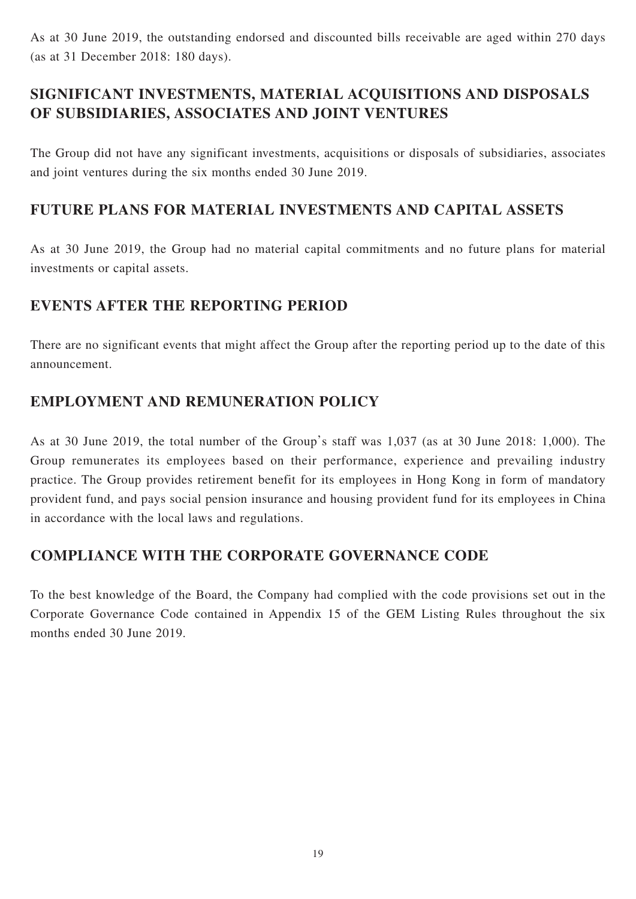As at 30 June 2019, the outstanding endorsed and discounted bills receivable are aged within 270 days (as at 31 December 2018: 180 days).

# **SIGNIFICANT INVESTMENTS, MATERIAL ACQUISITIONS AND DISPOSALS OF SUBSIDIARIES, ASSOCIATES AND JOINT VENTURES**

The Group did not have any significant investments, acquisitions or disposals of subsidiaries, associates and joint ventures during the six months ended 30 June 2019.

## **FUTURE PLANS FOR MATERIAL INVESTMENTS AND CAPITAL ASSETS**

As at 30 June 2019, the Group had no material capital commitments and no future plans for material investments or capital assets.

## **EVENTS AFTER THE REPORTING PERIOD**

There are no significant events that might affect the Group after the reporting period up to the date of this announcement.

## **EMPLOYMENT AND REMUNERATION POLICY**

As at 30 June 2019, the total number of the Group's staff was 1,037 (as at 30 June 2018: 1,000). The Group remunerates its employees based on their performance, experience and prevailing industry practice. The Group provides retirement benefit for its employees in Hong Kong in form of mandatory provident fund, and pays social pension insurance and housing provident fund for its employees in China in accordance with the local laws and regulations.

## **COMPLIANCE WITH THE CORPORATE GOVERNANCE CODE**

To the best knowledge of the Board, the Company had complied with the code provisions set out in the Corporate Governance Code contained in Appendix 15 of the GEM Listing Rules throughout the six months ended 30 June 2019.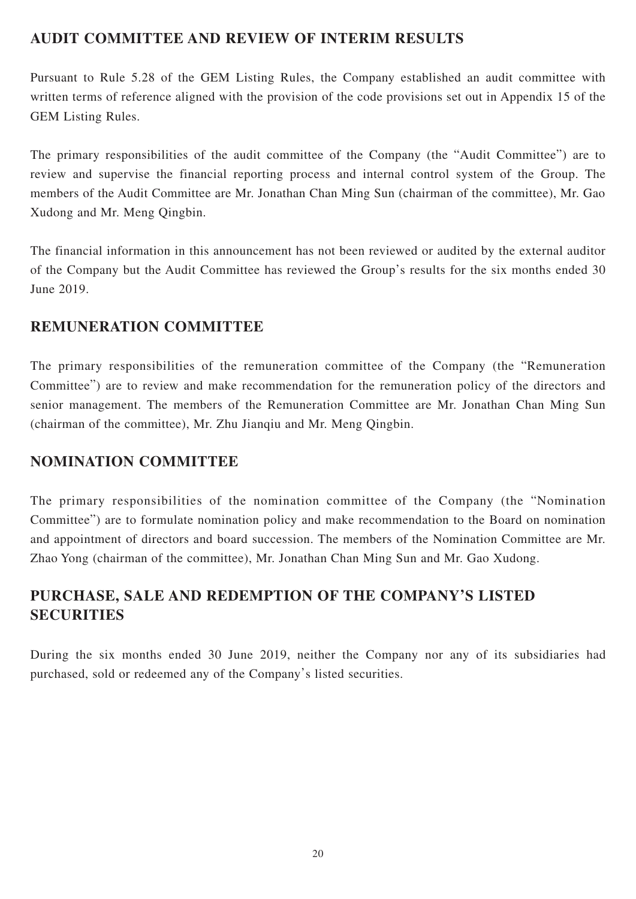## **AUDIT COMMITTEE AND REVIEW OF INTERIM RESULTS**

Pursuant to Rule 5.28 of the GEM Listing Rules, the Company established an audit committee with written terms of reference aligned with the provision of the code provisions set out in Appendix 15 of the GEM Listing Rules.

The primary responsibilities of the audit committee of the Company (the "Audit Committee") are to review and supervise the financial reporting process and internal control system of the Group. The members of the Audit Committee are Mr. Jonathan Chan Ming Sun (chairman of the committee), Mr. Gao Xudong and Mr. Meng Qingbin.

The financial information in this announcement has not been reviewed or audited by the external auditor of the Company but the Audit Committee has reviewed the Group's results for the six months ended 30 June 2019.

## **REMUNERATION COMMITTEE**

The primary responsibilities of the remuneration committee of the Company (the "Remuneration Committee") are to review and make recommendation for the remuneration policy of the directors and senior management. The members of the Remuneration Committee are Mr. Jonathan Chan Ming Sun (chairman of the committee), Mr. Zhu Jianqiu and Mr. Meng Qingbin.

## **NOMINATION COMMITTEE**

The primary responsibilities of the nomination committee of the Company (the "Nomination Committee") are to formulate nomination policy and make recommendation to the Board on nomination and appointment of directors and board succession. The members of the Nomination Committee are Mr. Zhao Yong (chairman of the committee), Mr. Jonathan Chan Ming Sun and Mr. Gao Xudong.

# **PURCHASE, SALE AND REDEMPTION OF THE COMPANY'S LISTED SECURITIES**

During the six months ended 30 June 2019, neither the Company nor any of its subsidiaries had purchased, sold or redeemed any of the Company's listed securities.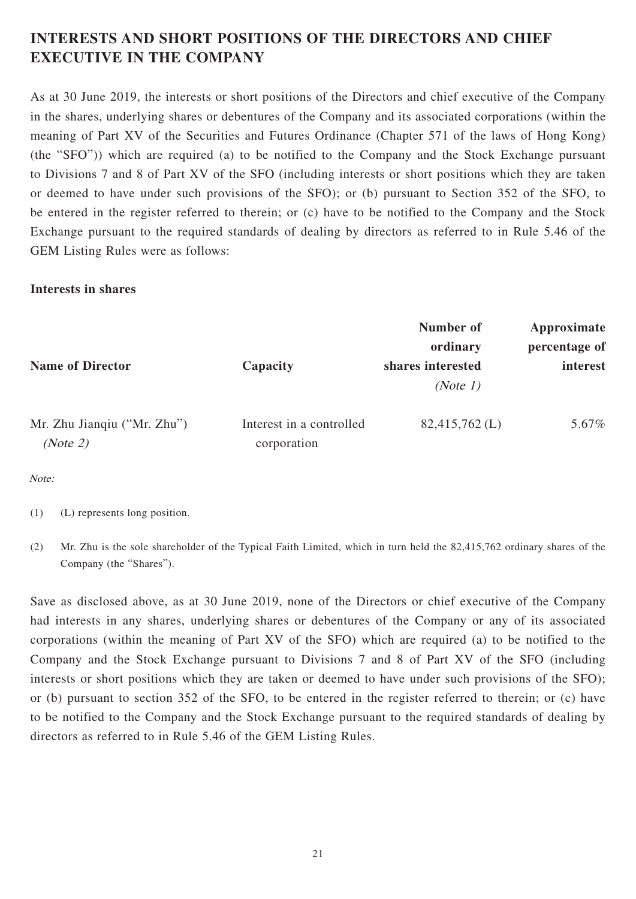# **INTERESTS AND SHORT POSITIONS OF THE DIRECTORS AND CHIEF EXECUTIVE IN THE COMPANY**

As at 30 June 2019, the interests or short positions of the Directors and chief executive of the Company in the shares, underlying shares or debentures of the Company and its associated corporations (within the meaning of Part XV of the Securities and Futures Ordinance (Chapter 571 of the laws of Hong Kong) (the "SFO")) which are required (a) to be notified to the Company and the Stock Exchange pursuant to Divisions 7 and 8 of Part XV of the SFO (including interests or short positions which they are taken or deemed to have under such provisions of the SFO); or (b) pursuant to Section 352 of the SFO, to be entered in the register referred to therein; or (c) have to be notified to the Company and the Stock Exchange pursuant to the required standards of dealing by directors as referred to in Rule 5.46 of the GEM Listing Rules were as follows:

## **Interests in shares**

|                                         |                                         | Number of<br>ordinary         | Approximate<br>percentage of |
|-----------------------------------------|-----------------------------------------|-------------------------------|------------------------------|
| <b>Name of Director</b>                 | Capacity                                | shares interested<br>(Note 1) | interest                     |
| Mr. Zhu Jianqiu ("Mr. Zhu")<br>(Note 2) | Interest in a controlled<br>corporation | $82,415,762$ (L)              | 5.67%                        |

Note:

(1) (L) represents long position.

(2) Mr. Zhu is the sole shareholder of the Typical Faith Limited, which in turn held the 82,415,762 ordinary shares of the Company (the "Shares").

Save as disclosed above, as at 30 June 2019, none of the Directors or chief executive of the Company had interests in any shares, underlying shares or debentures of the Company or any of its associated corporations (within the meaning of Part XV of the SFO) which are required (a) to be notified to the Company and the Stock Exchange pursuant to Divisions 7 and 8 of Part XV of the SFO (including interests or short positions which they are taken or deemed to have under such provisions of the SFO); or (b) pursuant to section 352 of the SFO, to be entered in the register referred to therein; or (c) have to be notified to the Company and the Stock Exchange pursuant to the required standards of dealing by directors as referred to in Rule 5.46 of the GEM Listing Rules.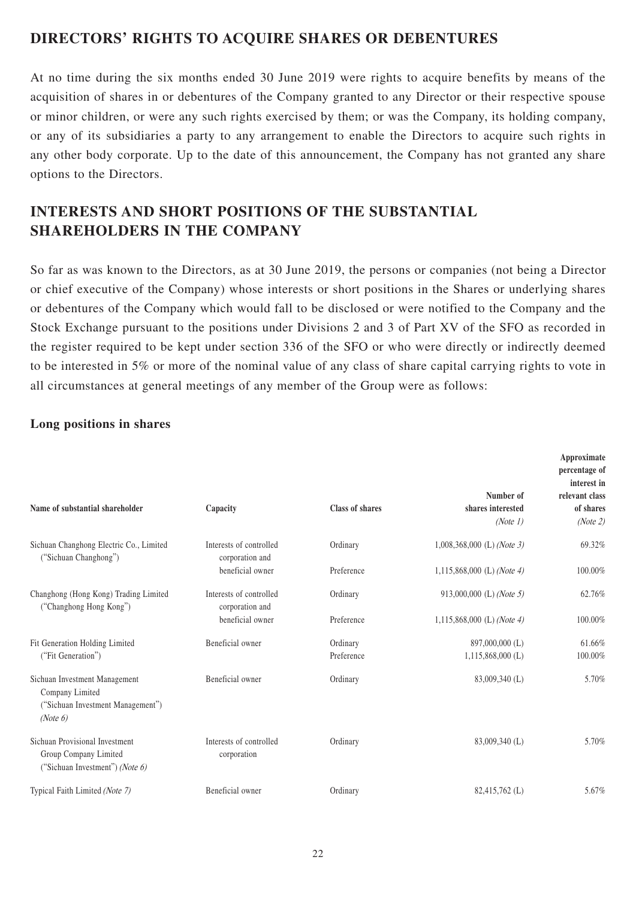## **DIRECTORS' RIGHTS TO ACQUIRE SHARES OR DEBENTURES**

At no time during the six months ended 30 June 2019 were rights to acquire benefits by means of the acquisition of shares in or debentures of the Company granted to any Director or their respective spouse or minor children, or were any such rights exercised by them; or was the Company, its holding company, or any of its subsidiaries a party to any arrangement to enable the Directors to acquire such rights in any other body corporate. Up to the date of this announcement, the Company has not granted any share options to the Directors.

# **INTERESTS AND SHORT POSITIONS OF THE SUBSTANTIAL SHAREHOLDERS IN THE COMPANY**

So far as was known to the Directors, as at 30 June 2019, the persons or companies (not being a Director or chief executive of the Company) whose interests or short positions in the Shares or underlying shares or debentures of the Company which would fall to be disclosed or were notified to the Company and the Stock Exchange pursuant to the positions under Divisions 2 and 3 of Part XV of the SFO as recorded in the register required to be kept under section 336 of the SFO or who were directly or indirectly deemed to be interested in 5% or more of the nominal value of any class of share capital carrying rights to vote in all circumstances at general meetings of any member of the Group were as follows:

| Name of substantial shareholder                                                                   | Capacity                                   | <b>Class of shares</b> | Number of<br>shares interested<br>(Note 1) | Approximate<br>percentage of<br>interest in<br>relevant class<br>of shares<br>(Note 2) |
|---------------------------------------------------------------------------------------------------|--------------------------------------------|------------------------|--------------------------------------------|----------------------------------------------------------------------------------------|
| Sichuan Changhong Electric Co., Limited<br>("Sichuan Changhong")                                  | Interests of controlled<br>corporation and | Ordinary               | $1,008,368,000$ (L) (Note 3)               | 69.32%                                                                                 |
|                                                                                                   | beneficial owner                           | Preference             | $1,115,868,000$ (L) (Note 4)               | 100.00%                                                                                |
| Changhong (Hong Kong) Trading Limited<br>("Changhong Hong Kong")                                  | Interests of controlled<br>corporation and | Ordinary               | 913,000,000 (L) (Note 5)                   | 62.76%                                                                                 |
|                                                                                                   | beneficial owner                           | Preference             | 1,115,868,000 (L) (Note 4)                 | 100.00%                                                                                |
| Fit Generation Holding Limited<br>("Fit Generation")                                              | Beneficial owner                           | Ordinary<br>Preference | 897,000,000 (L)<br>$1,115,868,000$ (L)     | 61.66%<br>100.00%                                                                      |
|                                                                                                   |                                            |                        |                                            |                                                                                        |
| Sichuan Investment Management<br>Company Limited<br>("Sichuan Investment Management")<br>(Note 6) | Beneficial owner                           | Ordinary               | 83,009,340 (L)                             | 5.70%                                                                                  |
| Sichuan Provisional Investment<br>Group Company Limited<br>("Sichuan Investment") (Note 6)        | Interests of controlled<br>corporation     | Ordinary               | 83,009,340 (L)                             | 5.70%                                                                                  |
| Typical Faith Limited (Note 7)                                                                    | Beneficial owner                           | Ordinary               | 82,415,762 (L)                             | 5.67%                                                                                  |

## **Long positions in shares**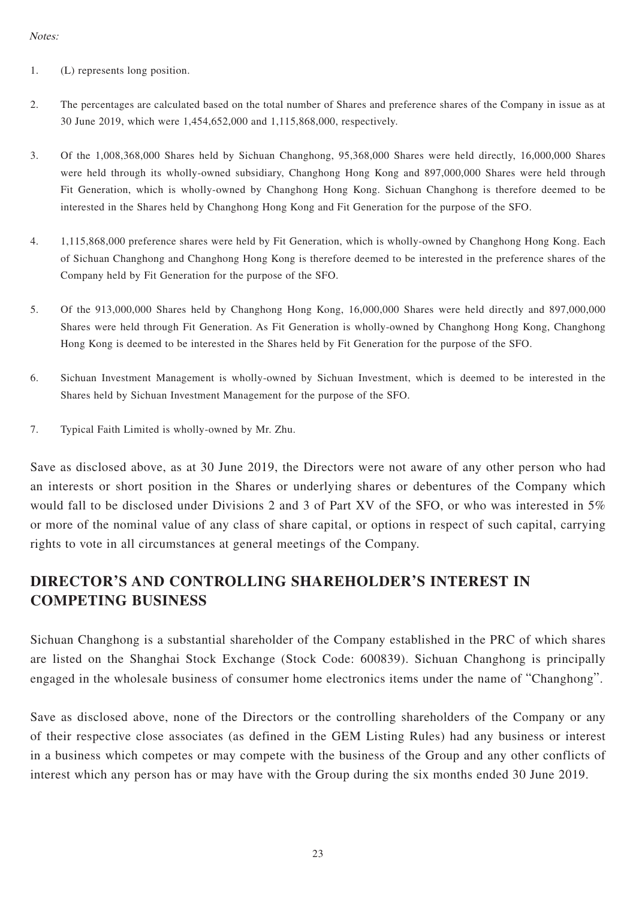### Notes:

- 1. (L) represents long position.
- 2. The percentages are calculated based on the total number of Shares and preference shares of the Company in issue as at 30 June 2019, which were 1,454,652,000 and 1,115,868,000, respectively.
- 3. Of the 1,008,368,000 Shares held by Sichuan Changhong, 95,368,000 Shares were held directly, 16,000,000 Shares were held through its wholly-owned subsidiary, Changhong Hong Kong and 897,000,000 Shares were held through Fit Generation, which is wholly-owned by Changhong Hong Kong. Sichuan Changhong is therefore deemed to be interested in the Shares held by Changhong Hong Kong and Fit Generation for the purpose of the SFO.
- 4. 1,115,868,000 preference shares were held by Fit Generation, which is wholly-owned by Changhong Hong Kong. Each of Sichuan Changhong and Changhong Hong Kong is therefore deemed to be interested in the preference shares of the Company held by Fit Generation for the purpose of the SFO.
- 5. Of the 913,000,000 Shares held by Changhong Hong Kong, 16,000,000 Shares were held directly and 897,000,000 Shares were held through Fit Generation. As Fit Generation is wholly-owned by Changhong Hong Kong, Changhong Hong Kong is deemed to be interested in the Shares held by Fit Generation for the purpose of the SFO.
- 6. Sichuan Investment Management is wholly-owned by Sichuan Investment, which is deemed to be interested in the Shares held by Sichuan Investment Management for the purpose of the SFO.
- 7. Typical Faith Limited is wholly-owned by Mr. Zhu.

Save as disclosed above, as at 30 June 2019, the Directors were not aware of any other person who had an interests or short position in the Shares or underlying shares or debentures of the Company which would fall to be disclosed under Divisions 2 and 3 of Part XV of the SFO, or who was interested in 5% or more of the nominal value of any class of share capital, or options in respect of such capital, carrying rights to vote in all circumstances at general meetings of the Company.

# **DIRECTOR'S AND CONTROLLING SHAREHOLDER'S INTEREST IN COMPETING BUSINESS**

Sichuan Changhong is a substantial shareholder of the Company established in the PRC of which shares are listed on the Shanghai Stock Exchange (Stock Code: 600839). Sichuan Changhong is principally engaged in the wholesale business of consumer home electronics items under the name of "Changhong".

Save as disclosed above, none of the Directors or the controlling shareholders of the Company or any of their respective close associates (as defined in the GEM Listing Rules) had any business or interest in a business which competes or may compete with the business of the Group and any other conflicts of interest which any person has or may have with the Group during the six months ended 30 June 2019.